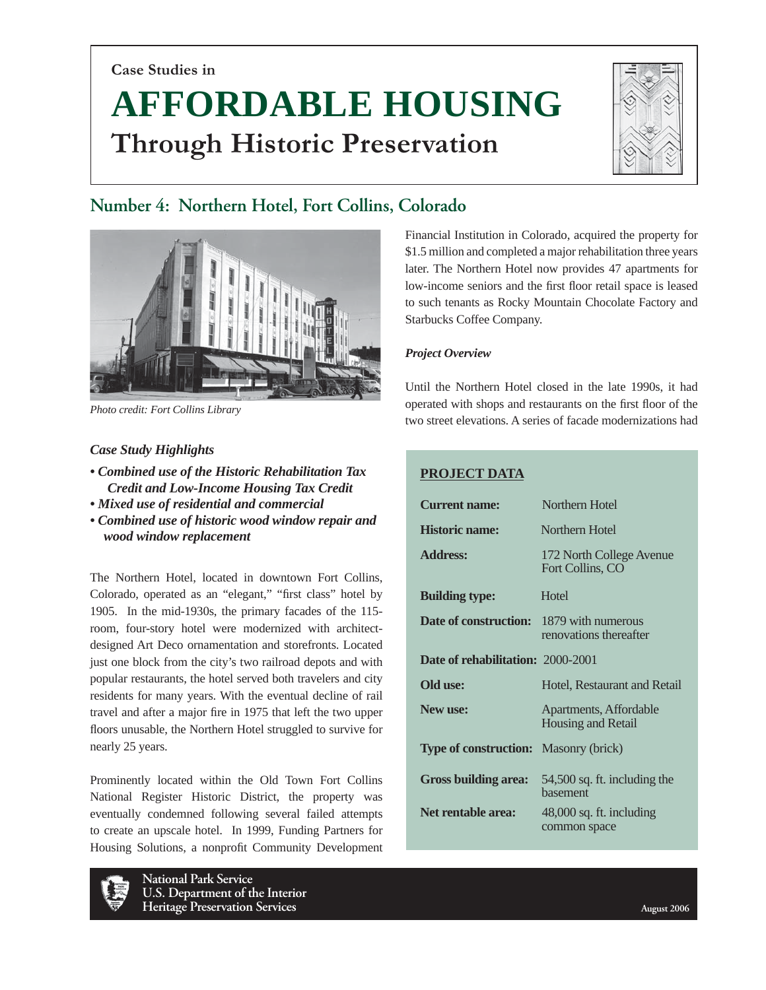**Case Studies in**

# **AFFORDABLE HOUSING Through Historic Preservation**



# **Number 4: Northern Hotel, Fort Collins, Colorado**



*Photo credit: Fort Collins Library*

# *Case Study Highlights*

- *Combined use of the Historic Rehabilitation Tax Credit and Low-Income Housing Tax Credit*
- *Mixed use of residential and commercial*
- *Combined use of historic wood window repair and wood window replacement*

The Northern Hotel, located in downtown Fort Collins, Colorado, operated as an "elegant," "first class" hotel by 1905. In the mid-1930s, the primary facades of the 115 room, four-story hotel were modernized with architectdesigned Art Deco ornamentation and storefronts. Located just one block from the city's two railroad depots and with popular restaurants, the hotel served both travelers and city residents for many years. With the eventual decline of rail travel and after a major fire in 1975 that left the two upper floors unusable, the Northern Hotel struggled to survive for nearly 25 years.

Prominently located within the Old Town Fort Collins National Register Historic District, the property was eventually condemned following several failed attempts to create an upscale hotel. In 1999, Funding Partners for Housing Solutions, a nonprofit Community Development



**National Park Service U.S. Department of the Interior Heritage Preservation Services August 2006 August 2006** 

Financial Institution in Colorado, acquired the property for \$1.5 million and completed a major rehabilitation three years later. The Northern Hotel now provides 47 apartments for low-income seniors and the first floor retail space is leased to such tenants as Rocky Mountain Chocolate Factory and Starbucks Coffee Company.

# *Project Overview*

I

Until the Northern Hotel closed in the late 1990s, it had operated with shops and restaurants on the first floor of the two street elevations. A series of facade modernizations had

# **PROJECT DATA**

| <b>Current name:</b>                            | Northern Hotel                               |
|-------------------------------------------------|----------------------------------------------|
| <b>Historic name:</b>                           | Northern Hotel                               |
| <b>Address:</b>                                 | 172 North College Avenue<br>Fort Collins, CO |
| <b>Building type:</b>                           | Hotel                                        |
| <b>Date of construction:</b> 1879 with numerous | renovations thereafter                       |
| <b>Date of rehabilitation: 2000-2001</b>        |                                              |
| Old use:                                        | Hotel, Restaurant and Retail                 |
| New use:                                        | Apartments, Affordable<br>Housing and Retail |
| <b>Type of construction:</b>                    | Masonry (brick)                              |
| <b>Gross building area:</b>                     | 54,500 sq. ft. including the<br>hasement     |
| Net rentable area:                              | $48,000$ sq. ft. including<br>common space   |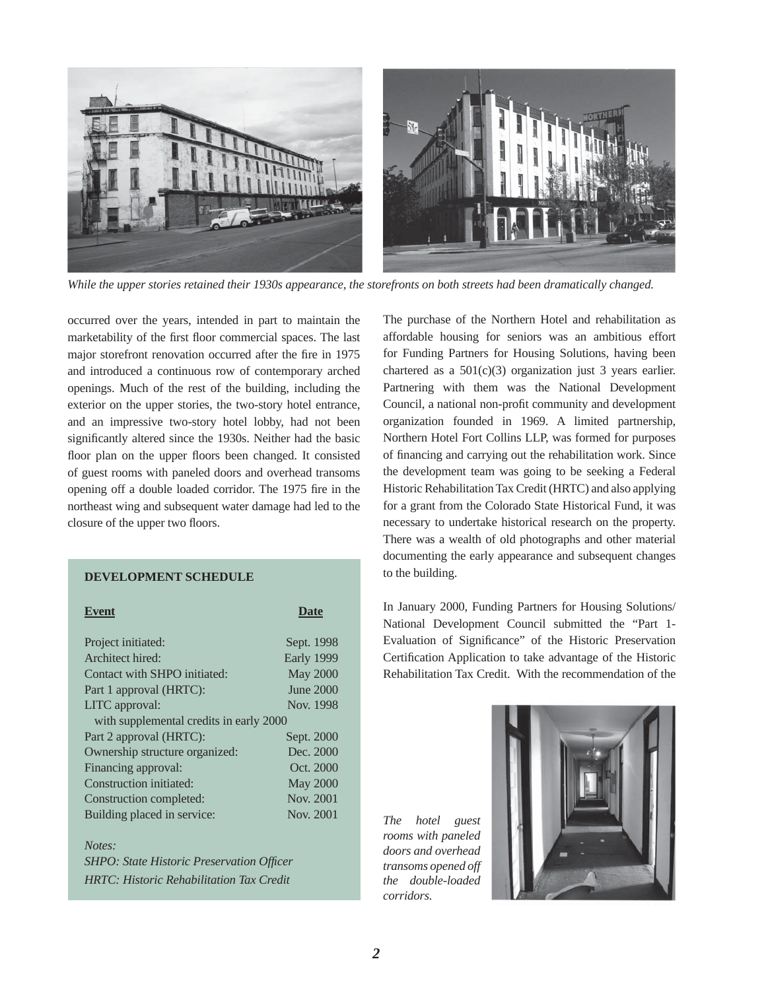

*While the upper stories retained their 1930s appearance, the storefronts on both streets had been dramatically changed.*

occurred over the years, intended in part to maintain the marketability of the first floor commercial spaces. The last major storefront renovation occurred after the fire in 1975 and introduced a continuous row of contemporary arched openings. Much of the rest of the building, including the exterior on the upper stories, the two-story hotel entrance, and an impressive two-story hotel lobby, had not been significantly altered since the 1930s. Neither had the basic floor plan on the upper floors been changed. It consisted of guest rooms with paneled doors and overhead transoms opening off a double loaded corridor. The 1975 fire in the northeast wing and subsequent water damage had led to the closure of the upper two floors.

#### **DEVELOPMENT SCHEDULE**

| <b>Event</b>                            | Date            |
|-----------------------------------------|-----------------|
| Project initiated:                      | Sept. 1998      |
| Architect hired:                        | Early 1999      |
| Contact with SHPO initiated:            | <b>May 2000</b> |
| Part 1 approval (HRTC):                 | June 2000       |
| LITC approval:                          | Nov. 1998       |
| with supplemental credits in early 2000 |                 |
| Part 2 approval (HRTC):                 | Sept. 2000      |
| Ownership structure organized:          | Dec. 2000       |
| Financing approval:                     | Oct. 2000       |
| Construction initiated:                 | <b>May 2000</b> |
| Construction completed:                 | Nov. 2001       |
| Building placed in service:             | Nov. 2001       |

*Notes: SHPO: State Historic Preservation Officer HRTC: Historic Rehabilitation Tax Credit*

The purchase of the Northern Hotel and rehabilitation as affordable housing for seniors was an ambitious effort for Funding Partners for Housing Solutions, having been chartered as a 501(c)(3) organization just 3 years earlier. Partnering with them was the National Development Council, a national non-profit community and development organization founded in 1969. A limited partnership, Northern Hotel Fort Collins LLP, was formed for purposes of financing and carrying out the rehabilitation work. Since the development team was going to be seeking a Federal Historic Rehabilitation Tax Credit (HRTC) and also applying for a grant from the Colorado State Historical Fund, it was necessary to undertake historical research on the property. There was a wealth of old photographs and other material documenting the early appearance and subsequent changes to the building.

In January 2000, Funding Partners for Housing Solutions/ National Development Council submitted the "Part 1- Evaluation of Significance" of the Historic Preservation Certification Application to take advantage of the Historic Rehabilitation Tax Credit. With the recommendation of the

*The hotel guest rooms with paneled doors and overhead transoms opened off the double-loaded corridors.*

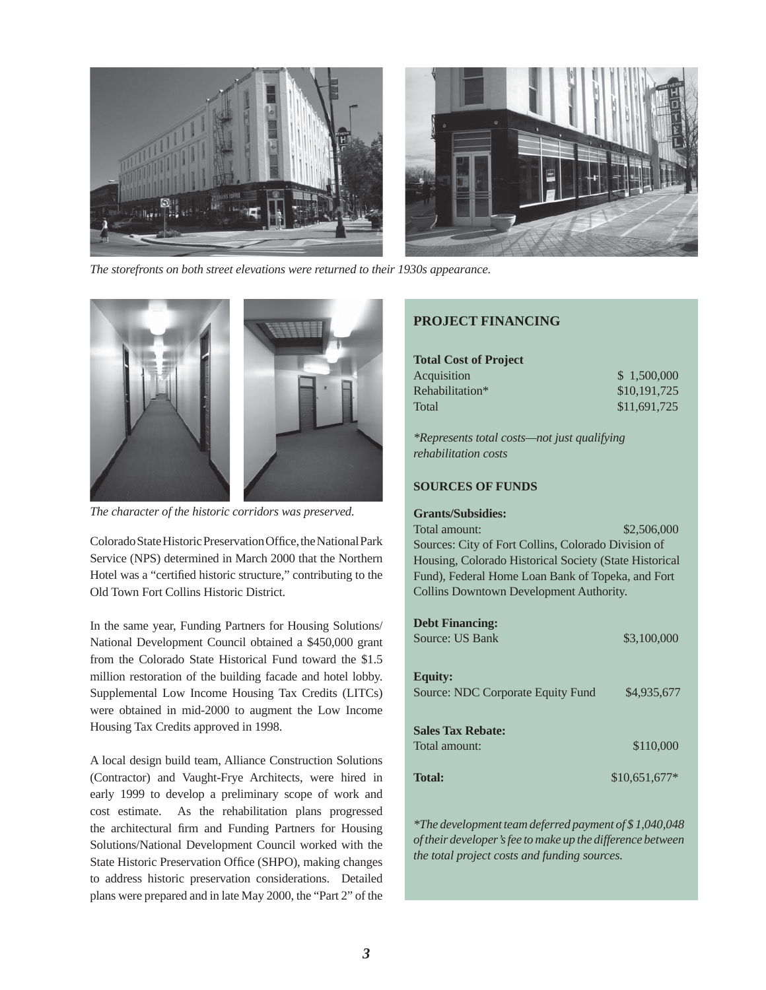

*The storefronts on both street elevations were returned to their 1930s appearance.*



*The character of the historic corridors was preserved.*

Colorado State Historic Preservation Office, the National Park Service (NPS) determined in March 2000 that the Northern Hotel was a "certified historic structure," contributing to the Old Town Fort Collins Historic District.

In the same year, Funding Partners for Housing Solutions/ National Development Council obtained a \$450,000 grant from the Colorado State Historical Fund toward the \$1.5 million restoration of the building facade and hotel lobby. Supplemental Low Income Housing Tax Credits (LITCs) were obtained in mid-2000 to augment the Low Income Housing Tax Credits approved in 1998.

A local design build team, Alliance Construction Solutions (Contractor) and Vaught-Frye Architects, were hired in early 1999 to develop a preliminary scope of work and cost estimate. As the rehabilitation plans progressed the architectural firm and Funding Partners for Housing Solutions/National Development Council worked with the State Historic Preservation Office (SHPO), making changes to address historic preservation considerations. Detailed plans were prepared and in late May 2000, the "Part 2" of the

# **PROJECT FINANCING**

# **Total Cost of Project**

| Acquisition     | \$1,500,000  |
|-----------------|--------------|
| Rehabilitation* | \$10,191,725 |
| Total           | \$11,691,725 |

*\*Represents total costs—not just qualifying rehabilitation costs*

### **SOURCES OF FUNDS**

#### **Grants/Subsidies:**

Total amount: \$2,506,000 Sources: City of Fort Collins, Colorado Division of Housing, Colorado Historical Society (State Historical Fund), Federal Home Loan Bank of Topeka, and Fort Collins Downtown Development Authority.

| <b>Debt Financing:</b><br>Source: US Bank           | \$3,100,000    |
|-----------------------------------------------------|----------------|
| <b>Equity:</b><br>Source: NDC Corporate Equity Fund | \$4,935,677    |
| <b>Sales Tax Rebate:</b><br>Total amount:           | \$110,000      |
| <b>Total:</b>                                       | $$10,651,677*$ |

*\*The development team deferred payment of \$ 1,040,048 of their developer's fee to make up the difference between the total project costs and funding sources.*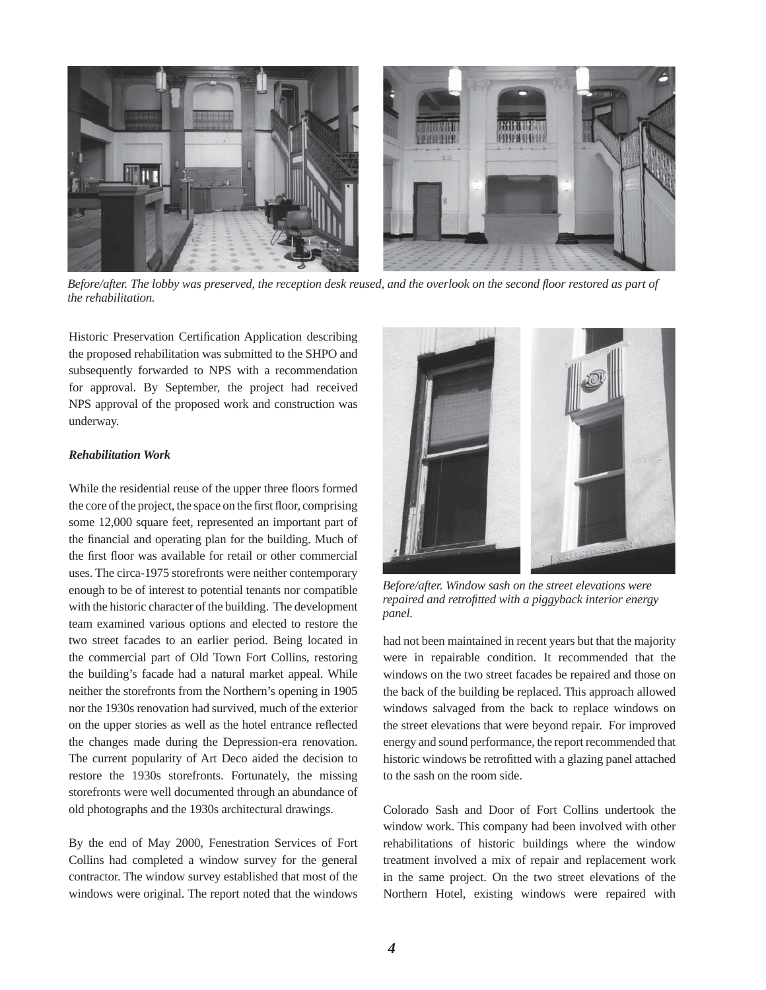

*Before/after. The lobby was preserved, the reception desk reused, and the overlook on the second fl oor restored as part of the rehabilitation.* 

Historic Preservation Certification Application describing the proposed rehabilitation was submitted to the SHPO and subsequently forwarded to NPS with a recommendation for approval. By September, the project had received NPS approval of the proposed work and construction was underway.

#### *Rehabilitation Work*

While the residential reuse of the upper three floors formed the core of the project, the space on the first floor, comprising some 12,000 square feet, represented an important part of the financial and operating plan for the building. Much of the first floor was available for retail or other commercial uses. The circa-1975 storefronts were neither contemporary enough to be of interest to potential tenants nor compatible with the historic character of the building. The development team examined various options and elected to restore the two street facades to an earlier period. Being located in the commercial part of Old Town Fort Collins, restoring the building's facade had a natural market appeal. While neither the storefronts from the Northern's opening in 1905 nor the 1930s renovation had survived, much of the exterior on the upper stories as well as the hotel entrance reflected the changes made during the Depression-era renovation. The current popularity of Art Deco aided the decision to restore the 1930s storefronts. Fortunately, the missing storefronts were well documented through an abundance of old photographs and the 1930s architectural drawings.

By the end of May 2000, Fenestration Services of Fort Collins had completed a window survey for the general contractor. The window survey established that most of the windows were original. The report noted that the windows



*Before/after. Window sash on the street elevations were repaired and retrofitted with a piggyback interior energy panel.*

had not been maintained in recent years but that the majority were in repairable condition. It recommended that the windows on the two street facades be repaired and those on the back of the building be replaced. This approach allowed windows salvaged from the back to replace windows on the street elevations that were beyond repair. For improved energy and sound performance, the report recommended that historic windows be retrofitted with a glazing panel attached to the sash on the room side.

Colorado Sash and Door of Fort Collins undertook the window work. This company had been involved with other rehabilitations of historic buildings where the window treatment involved a mix of repair and replacement work in the same project. On the two street elevations of the Northern Hotel, existing windows were repaired with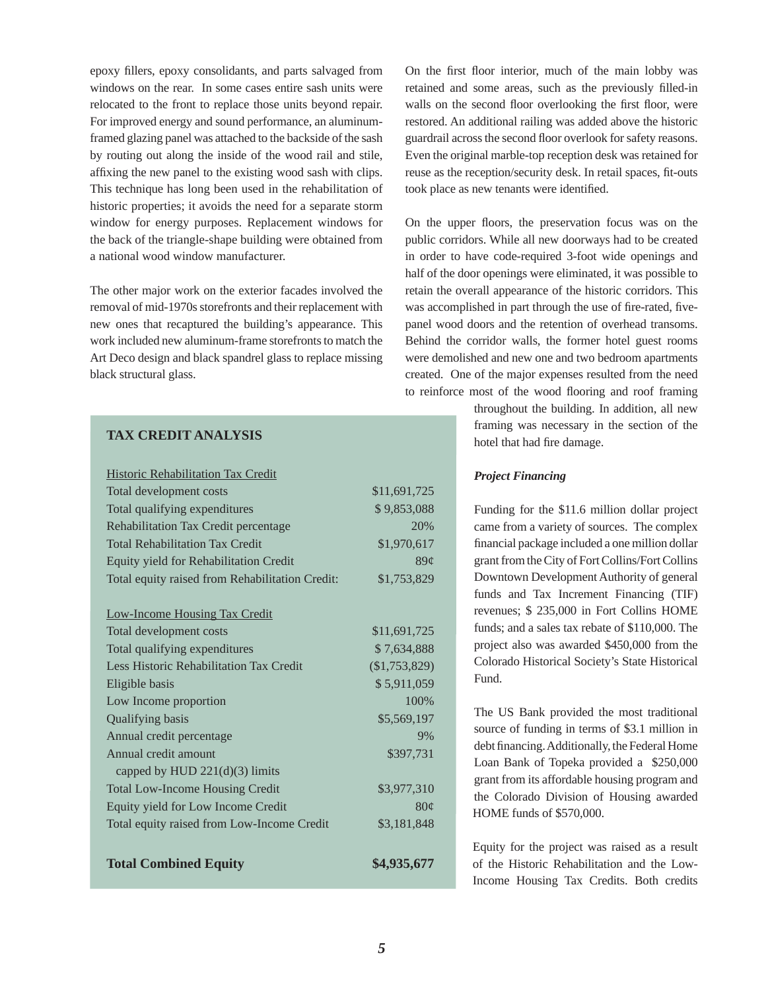epoxy fillers, epoxy consolidants, and parts salvaged from windows on the rear. In some cases entire sash units were relocated to the front to replace those units beyond repair. For improved energy and sound performance, an aluminumframed glazing panel was attached to the backside of the sash by routing out along the inside of the wood rail and stile, affixing the new panel to the existing wood sash with clips. This technique has long been used in the rehabilitation of historic properties; it avoids the need for a separate storm window for energy purposes. Replacement windows for the back of the triangle-shape building were obtained from a national wood window manufacturer.

The other major work on the exterior facades involved the removal of mid-1970s storefronts and their replacement with new ones that recaptured the building's appearance. This work included new aluminum-frame storefronts to match the Art Deco design and black spandrel glass to replace missing black structural glass.

# **TAX CREDIT ANALYSIS**

| Historic Rehabilitation Tax Credit              |                 |
|-------------------------------------------------|-----------------|
| Total development costs                         | \$11,691,725    |
| Total qualifying expenditures                   | \$9,853,088     |
| Rehabilitation Tax Credit percentage            | 20%             |
| <b>Total Rehabilitation Tax Credit</b>          | \$1,970,617     |
| Equity yield for Rehabilitation Credit          | 89 <sub>c</sub> |
| Total equity raised from Rehabilitation Credit: | \$1,753,829     |
| <b>Low-Income Housing Tax Credit</b>            |                 |
| Total development costs                         | \$11,691,725    |
| Total qualifying expenditures                   | \$7,634,888     |
| Less Historic Rehabilitation Tax Credit         | $(\$1,753,829)$ |
| Eligible basis                                  | \$5,911,059     |
| Low Income proportion                           | 100%            |
| <b>Qualifying basis</b>                         | \$5,569,197     |
| Annual credit percentage                        | 9%              |
| Annual credit amount                            | \$397,731       |
| capped by HUD $221(d)(3)$ limits                |                 |
| <b>Total Low-Income Housing Credit</b>          | \$3,977,310     |
| Equity yield for Low Income Credit              | $80\circ$       |
| Total equity raised from Low-Income Credit      | \$3,181,848     |
| <b>Total Combined Equity</b>                    | \$4,935,677     |

On the first floor interior, much of the main lobby was retained and some areas, such as the previously filled-in walls on the second floor overlooking the first floor, were restored. An additional railing was added above the historic guardrail across the second floor overlook for safety reasons. Even the original marble-top reception desk was retained for reuse as the reception/security desk. In retail spaces, fit-outs took place as new tenants were identified.

On the upper floors, the preservation focus was on the public corridors. While all new doorways had to be created in order to have code-required 3-foot wide openings and half of the door openings were eliminated, it was possible to retain the overall appearance of the historic corridors. This was accomplished in part through the use of fire-rated, fivepanel wood doors and the retention of overhead transoms. Behind the corridor walls, the former hotel guest rooms were demolished and new one and two bedroom apartments created. One of the major expenses resulted from the need to reinforce most of the wood flooring and roof framing

> throughout the building. In addition, all new framing was necessary in the section of the hotel that had fire damage.

# *Project Financing*

Funding for the \$11.6 million dollar project came from a variety of sources. The complex financial package included a one million dollar grant from the City of Fort Collins/Fort Collins Downtown Development Authority of general funds and Tax Increment Financing (TIF) revenues; \$ 235,000 in Fort Collins HOME funds; and a sales tax rebate of \$110,000. The project also was awarded \$450,000 from the Colorado Historical Society's State Historical Fund.

The US Bank provided the most traditional source of funding in terms of \$3.1 million in debt financing. Additionally, the Federal Home Loan Bank of Topeka provided a \$250,000 grant from its affordable housing program and the Colorado Division of Housing awarded HOME funds of \$570,000.

Equity for the project was raised as a result of the Historic Rehabilitation and the Low-Income Housing Tax Credits. Both credits